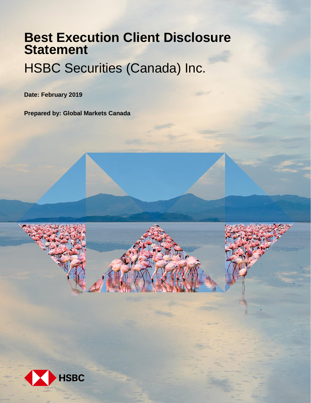# **Best Execution Client Disclosure Statement**

## HSBC Securities (Canada) Inc.

**Date: February 2019**

**Prepared by: Global Markets Canada**

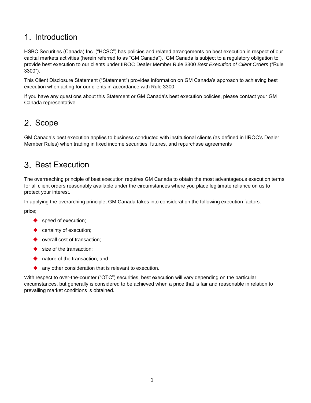## 1. Introduction

HSBC Securities (Canada) Inc. ("HCSC") has policies and related arrangements on best execution in respect of our capital markets activities (herein referred to as "GM Canada"). GM Canada is subject to a regulatory obligation to provide best execution to our clients under IIROC Dealer Member Rule 3300 *Best Execution of Client Orders* ("Rule 3300").

This Client Disclosure Statement ("Statement") provides information on GM Canada's approach to achieving best execution when acting for our clients in accordance with Rule 3300.

If you have any questions about this Statement or GM Canada's best execution policies, please contact your GM Canada representative.

#### 2. Scope

GM Canada's best execution applies to business conducted with institutional clients (as defined in IIROC's Dealer Member Rules) when trading in fixed income securities, futures, and repurchase agreements

#### Best Execution

The overreaching principle of best execution requires GM Canada to obtain the most advantageous execution terms for all client orders reasonably available under the circumstances where you place legitimate reliance on us to protect your interest.

In applying the overarching principle, GM Canada takes into consideration the following execution factors:

price;

- ◆ speed of execution;
- certainty of execution;
- ◆ overall cost of transaction;
- size of the transaction;
- ◆ nature of the transaction: and
- any other consideration that is relevant to execution.

With respect to over-the-counter ("OTC") securities, best execution will vary depending on the particular circumstances, but generally is considered to be achieved when a price that is fair and reasonable in relation to prevailing market conditions is obtained.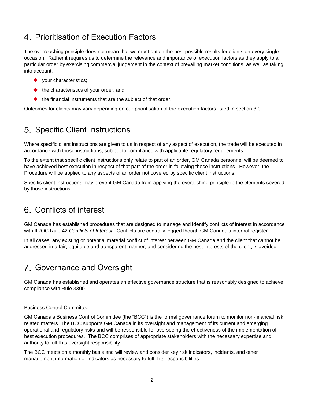## 4. Prioritisation of Execution Factors

The overreaching principle does not mean that we must obtain the best possible results for clients on every single occasion. Rather it requires us to determine the relevance and importance of execution factors as they apply to a particular order by exercising commercial judgement in the context of prevailing market conditions, as well as taking into account:

- ◆ your characteristics;
- $\blacklozenge$  the characteristics of your order; and
- $\blacklozenge$  the financial instruments that are the subject of that order.

Outcomes for clients may vary depending on our prioritisation of the execution factors listed in section 3.0.

## 5. Specific Client Instructions

Where specific client instructions are given to us in respect of any aspect of execution, the trade will be executed in accordance with those instructions, subject to compliance with applicable regulatory requirements.

To the extent that specific client instructions only relate to part of an order, GM Canada personnel will be deemed to have achieved best execution in respect of that part of the order in following those instructions. However, the Procedure will be applied to any aspects of an order not covered by specific client instructions.

Specific client instructions may prevent GM Canada from applying the overarching principle to the elements covered by those instructions.

## Conflicts of interest

GM Canada has established procedures that are designed to manage and identify conflicts of interest in accordance with IIROC Rule 42 *Conflicts of Interest*. Conflicts are centrally logged though GM Canada's internal register.

In all cases, any existing or potential material conflict of interest between GM Canada and the client that cannot be addressed in a fair, equitable and transparent manner, and considering the best interests of the client, is avoided.

## 7. Governance and Oversight

GM Canada has established and operates an effective governance structure that is reasonably designed to achieve compliance with Rule 3300.

#### Business Control Committee

GM Canada's Business Control Committee (the "BCC") is the formal governance forum to monitor non-financial risk related matters. The BCC supports GM Canada in its oversight and management of its current and emerging operational and regulatory risks and will be responsible for overseeing the effectiveness of the implementation of best execution procedures. The BCC comprises of appropriate stakeholders with the necessary expertise and authority to fulfill its oversight responsibility.

The BCC meets on a monthly basis and will review and consider key risk indicators, incidents, and other management information or indicators as necessary to fulfill its responsibilities.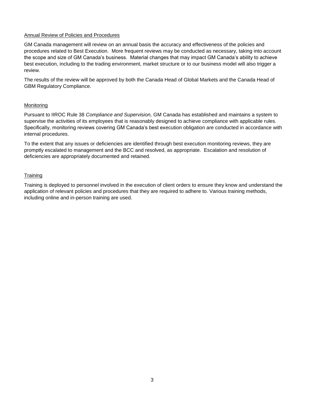#### Annual Review of Policies and Procedures

GM Canada management will review on an annual basis the accuracy and effectiveness of the policies and procedures related to Best Execution. More frequent reviews may be conducted as necessary, taking into account the scope and size of GM Canada's business. Material changes that may impact GM Canada's ability to achieve best execution, including to the trading environment, market structure or to our business model will also trigger a review.

The results of the review will be approved by both the Canada Head of Global Markets and the Canada Head of GBM Regulatory Compliance.

#### Monitoring

Pursuant to IIROC Rule 38 *Compliance and Supervision,* GM Canada has established and maintains a system to supervise the activities of its employees that is reasonably designed to achieve compliance with applicable rules. Specifically, monitoring reviews covering GM Canada's best execution obligation are conducted in accordance with internal procedures.

To the extent that any issues or deficiencies are identified through best execution monitoring reviews, they are promptly escalated to management and the BCC and resolved, as appropriate. Escalation and resolution of deficiencies are appropriately documented and retained.

#### **Training**

Training is deployed to personnel involved in the execution of client orders to ensure they know and understand the application of relevant policies and procedures that they are required to adhere to. Various training methods, including online and in-person training are used.